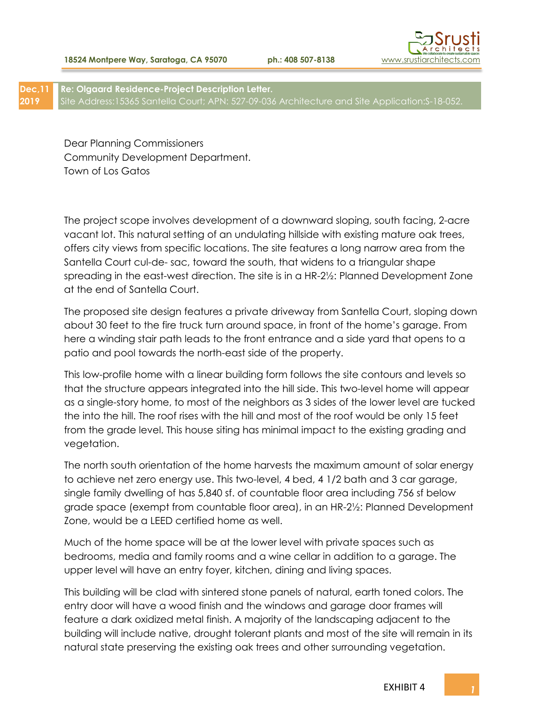

**Dec,11 2019 Re: Olgaard Residence-Project Description Letter.** Site Address:15365 Santella Court; APN: 527-09-036 Architecture and Site Application:S-18-052.

Dear Planning Commissioners Community Development Department. Town of Los Gatos

The project scope involves development of a downward sloping, south facing, 2-acre vacant lot. This natural setting of an undulating hillside with existing mature oak trees, offers city views from specific locations. The site features a long narrow area from the Santella Court cul-de- sac, toward the south, that widens to a triangular shape spreading in the east-west direction. The site is in a HR-2½: Planned Development Zone at the end of Santella Court.

The proposed site design features a private driveway from Santella Court, sloping down about 30 feet to the fire truck turn around space, in front of the home's garage. From here a winding stair path leads to the front entrance and a side yard that opens to a patio and pool towards the north-east side of the property.

This low-profile home with a linear building form follows the site contours and levels so that the structure appears integrated into the hill side. This two-level home will appear as a single-story home, to most of the neighbors as 3 sides of the lower level are tucked the into the hill. The roof rises with the hill and most of the roof would be only 15 feet from the grade level. This house siting has minimal impact to the existing grading and vegetation.

The north south orientation of the home harvests the maximum amount of solar energy to achieve net zero energy use. This two-level, 4 bed, 4 1/2 bath and 3 car garage, single family dwelling of has 5,840 sf. of countable floor area including 756 sf below grade space (exempt from countable floor area), in an HR-2½: Planned Development Zone, would be a LEED certified home as well.

Much of the home space will be at the lower level with private spaces such as bedrooms, media and family rooms and a wine cellar in addition to a garage. The upper level will have an entry foyer, kitchen, dining and living spaces.

This building will be clad with sintered stone panels of natural, earth toned colors. The entry door will have a wood finish and the windows and garage door frames will feature a dark oxidized metal finish. A majority of the landscaping adjacent to the building will include native, drought tolerant plants and most of the site will remain in its natural state preserving the existing oak trees and other surrounding vegetation.